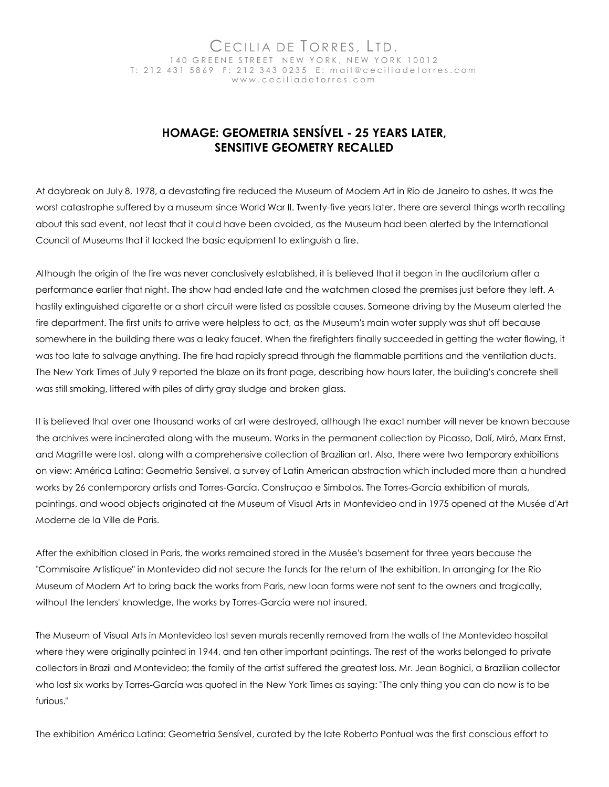## Cecilia de Torres, Ltd. 140 GREENE STREET NEW YORK, NEW YORK 10012 T: 212 431 5869 F: 212 343 0235 E: mail@ceciliadetorres.com w w w . c e c i l i a d e t o r r e s . c o m

## **HOMAGE: GEOMETRIA SENSÍVEL - 25 YEARS LATER, SENSITIVE GEOMETRY RECALLED**

At daybreak on July 8, 1978, a devastating fire reduced the Museum of Modern Art in Rio de Janeiro to ashes. It was the worst catastrophe suffered by a museum since World War II. Twenty-five years later, there are several things worth recalling about this sad event, not least that it could have been avoided, as the Museum had been alerted by the International Council of Museums that it lacked the basic equipment to extinguish a fire.

Although the origin of the fire was never conclusively established, it is believed that it began in the auditorium after a performance earlier that night. The show had ended late and the watchmen closed the premises just before they left. A hastily extinguished cigarette or a short circuit were listed as possible causes. Someone driving by the Museum alerted the fire department. The first units to arrive were helpless to act, as the Museum's main water supply was shut off because somewhere in the building there was a leaky faucet. When the firefighters finally succeeded in getting the water flowing, it was too late to salvage anything. The fire had rapidly spread through the flammable partitions and the ventilation ducts. The New York Times of July 9 reported the blaze on its front page, describing how hours later, the building's concrete shell was still smoking, littered with piles of dirty gray sludge and broken glass.

It is believed that over one thousand works of art were destroyed, although the exact number will never be known because the archives were incinerated along with the museum. Works in the permanent collection by Picasso, Dalí, Miró, Marx Ernst, and Magritte were lost, along with a comprehensive collection of Brazilian art. Also, there were two temporary exhibitions on view: América Latina: Geometria Sensível, a survey of Latin American abstraction which included more than a hundred works by 26 contemporary artists and Torres-García, Construçao e Simbolos. The Torres-García exhibition of murals, paintings, and wood objects originated at the Museum of Visual Arts in Montevideo and in 1975 opened at the Musée d'Art Moderne de la Ville de Paris.

After the exhibition closed in Paris, the works remained stored in the Musée's basement for three years because the "Commisaire Artistique" in Montevideo did not secure the funds for the return of the exhibition. In arranging for the Rio Museum of Modern Art to bring back the works from Paris, new loan forms were not sent to the owners and tragically, without the lenders' knowledge, the works by Torres-García were not insured.

The Museum of Visual Arts in Montevideo lost seven murals recently removed from the walls of the Montevideo hospital where they were originally painted in 1944, and ten other important paintings. The rest of the works belonged to private collectors in Brazil and Montevideo; the family of the artist suffered the greatest loss. Mr. Jean Boghici, a Brazilian collector who lost six works by Torres-García was quoted in the New York Times as saying: "The only thing you can do now is to be furious."

The exhibition América Latina: Geometria Sensível, curated by the late Roberto Pontual was the first conscious effort to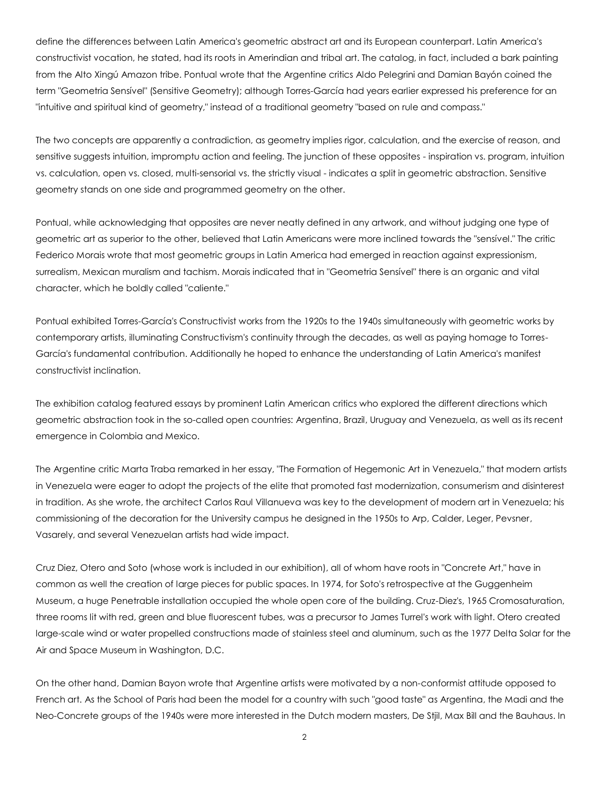define the differences between Latin America's geometric abstract art and its European counterpart. Latin America's constructivist vocation, he stated, had its roots in Amerindian and tribal art. The catalog, in fact, included a bark painting from the Alto Xingú Amazon tribe. Pontual wrote that the Argentine critics Aldo Pelegrini and Damian Bayón coined the term "Geometria Sensível" (Sensitive Geometry); although Torres-García had years earlier expressed his preference for an "intuitive and spiritual kind of geometry," instead of a traditional geometry "based on rule and compass."

The two concepts are apparently a contradiction, as geometry implies rigor, calculation, and the exercise of reason, and sensitive suggests intuition, impromptu action and feeling. The junction of these opposites - inspiration vs. program, intuition vs. calculation, open vs. closed, multi-sensorial vs. the strictly visual - indicates a split in geometric abstraction. Sensitive geometry stands on one side and programmed geometry on the other.

Pontual, while acknowledging that opposites are never neatly defined in any artwork, and without judging one type of geometric art as superior to the other, believed that Latin Americans were more inclined towards the "sensível." The critic Federico Morais wrote that most geometric groups in Latin America had emerged in reaction against expressionism, surrealism, Mexican muralism and tachism. Morais indicated that in "Geometria Sensível" there is an organic and vital character, which he boldly called "caliente."

Pontual exhibited Torres-García's Constructivist works from the 1920s to the 1940s simultaneously with geometric works by contemporary artists, illuminating Constructivism's continuity through the decades, as well as paying homage to Torres-García's fundamental contribution. Additionally he hoped to enhance the understanding of Latin America's manifest constructivist inclination.

The exhibition catalog featured essays by prominent Latin American critics who explored the different directions which geometric abstraction took in the so-called open countries: Argentina, Brazil, Uruguay and Venezuela, as well as its recent emergence in Colombia and Mexico.

The Argentine critic Marta Traba remarked in her essay, "The Formation of Hegemonic Art in Venezuela," that modern artists in Venezuela were eager to adopt the projects of the elite that promoted fast modernization, consumerism and disinterest in tradition. As she wrote, the architect Carlos Raul Villanueva was key to the development of modern art in Venezuela; his commissioning of the decoration for the University campus he designed in the 1950s to Arp, Calder, Leger, Pevsner, Vasarely, and several Venezuelan artists had wide impact.

Cruz Diez, Otero and Soto (whose work is included in our exhibition), all of whom have roots in "Concrete Art," have in common as well the creation of large pieces for public spaces. In 1974, for Soto's retrospective at the Guggenheim Museum, a huge Penetrable installation occupied the whole open core of the building. Cruz-Diez's, 1965 Cromosaturation, three rooms lit with red, green and blue fluorescent tubes, was a precursor to James Turrel's work with light. Otero created large-scale wind or water propelled constructions made of stainless steel and aluminum, such as the 1977 Delta Solar for the Air and Space Museum in Washington, D.C.

On the other hand, Damian Bayon wrote that Argentine artists were motivated by a non-conformist attitude opposed to French art. As the School of Paris had been the model for a country with such "good taste" as Argentina, the Madi and the Neo-Concrete groups of the 1940s were more interested in the Dutch modern masters, De Stjil, Max Bill and the Bauhaus. In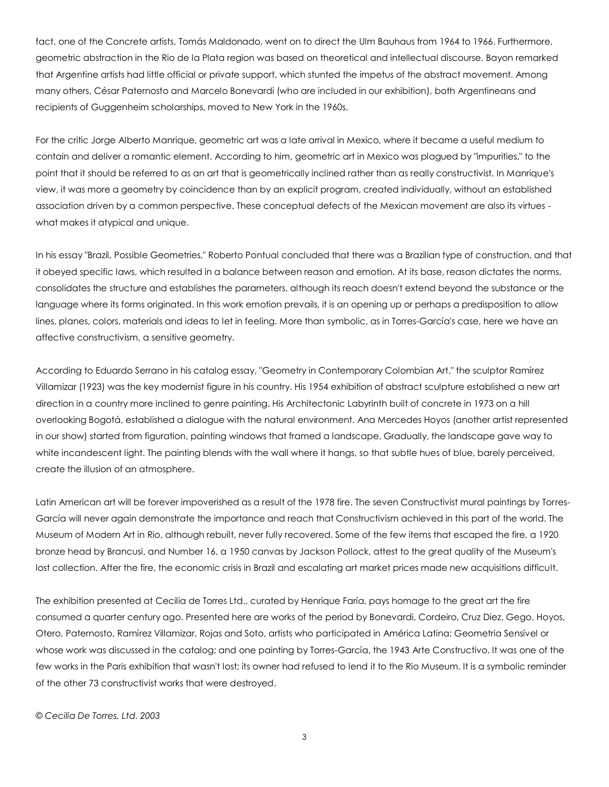fact, one of the Concrete artists, Tomás Maldonado, went on to direct the Ulm Bauhaus from 1964 to 1966. Furthermore, geometric abstraction in the Rio de la Plata region was based on theoretical and intellectual discourse. Bayon remarked that Argentine artists had little official or private support, which stunted the impetus of the abstract movement. Among many others, César Paternosto and Marcelo Bonevardi (who are included in our exhibition), both Argentineans and recipients of Guggenheim scholarships, moved to New York in the 1960s.

For the critic Jorge Alberto Manrique, geometric art was a late arrival in Mexico, where it became a useful medium to contain and deliver a romantic element. According to him, geometric art in Mexico was plagued by "impurities," to the point that it should be referred to as an art that is geometrically inclined rather than as really constructivist. In Manrique's view, it was more a geometry by coincidence than by an explicit program, created individually, without an established association driven by a common perspective. These conceptual defects of the Mexican movement are also its virtues what makes it atypical and unique.

In his essay "Brazil, Possible Geometries," Roberto Pontual concluded that there was a Brazilian type of construction, and that it obeyed specific laws, which resulted in a balance between reason and emotion. At its base, reason dictates the norms, consolidates the structure and establishes the parameters, although its reach doesn't extend beyond the substance or the language where its forms originated. In this work emotion prevails, it is an opening up or perhaps a predisposition to allow lines, planes, colors, materials and ideas to let in feeling. More than symbolic, as in Torres-García's case, here we have an affective constructivism, a sensitive geometry.

According to Eduardo Serrano in his catalog essay, "Geometry in Contemporary Colombian Art," the sculptor Ramírez Villamizar (1923) was the key modernist figure in his country. His 1954 exhibition of abstract sculpture established a new art direction in a country more inclined to genre painting. His Architectonic Labyrinth built of concrete in 1973 on a hill overlooking Bogotá, established a dialogue with the natural environment. Ana Mercedes Hoyos (another artist represented in our show) started from figuration, painting windows that framed a landscape. Gradually, the landscape gave way to white incandescent light. The painting blends with the wall where it hangs, so that subtle hues of blue, barely perceived, create the illusion of an atmosphere.

Latin American art will be forever impoverished as a result of the 1978 fire. The seven Constructivist mural paintings by Torres-García will never again demonstrate the importance and reach that Constructivism achieved in this part of the world. The Museum of Modern Art in Rio, although rebuilt, never fully recovered. Some of the few items that escaped the fire, a 1920 bronze head by Brancusi, and Number 16, a 1950 canvas by Jackson Pollock, attest to the great quality of the Museum's lost collection. After the fire, the economic crisis in Brazil and escalating art market prices made new acquisitions difficult.

The exhibition presented at Cecilia de Torres Ltd., curated by Henrique Faría, pays homage to the great art the fire consumed a quarter century ago. Presented here are works of the period by Bonevardi, Cordeiro, Cruz Diez, Gego, Hoyos, Otero, Paternosto, Ramírez Villamizar, Rojas and Soto, artists who participated in América Latina: Geometria Sensível or whose work was discussed in the catalog; and one painting by Torres-García, the 1943 Arte Constructivo. It was one of the few works in the Paris exhibition that wasn't lost; its owner had refused to lend it to the Rio Museum. It is a symbolic reminder of the other 73 constructivist works that were destroyed.

*© Cecilia De Torres, Ltd. 2003*